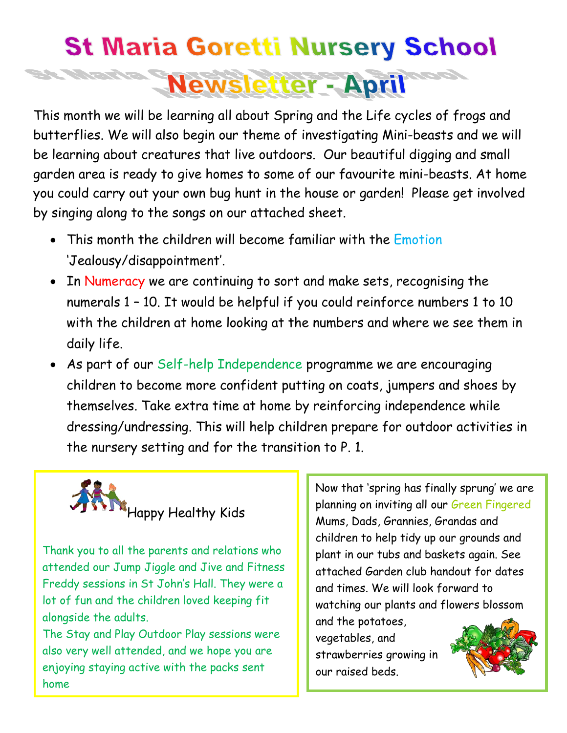## **St Maria Goretti Nursery School Newsletter - April**

This month we will be learning all about Spring and the Life cycles of frogs and butterflies. We will also begin our theme of investigating Mini-beasts and we will be learning about creatures that live outdoors. Our beautiful digging and small garden area is ready to give homes to some of our favourite mini-beasts. At home you could carry out your own bug hunt in the house or garden! Please get involved by singing along to the songs on our attached sheet.

- This month the children will become familiar with the Emotion 'Jealousy/disappointment'.
- In Numeracy we are continuing to sort and make sets, recognising the numerals 1 – 10. It would be helpful if you could reinforce numbers 1 to 10 with the children at home looking at the numbers and where we see them in daily life.
- As part of our Self-help Independence programme we are encouraging children to become more confident putting on coats, jumpers and shoes by themselves. Take extra time at home by reinforcing independence while dressing/undressing. This will help children prepare for outdoor activities in the nursery setting and for the transition to P. 1.



Thank you to all the parents and relations who attended our Jump Jiggle and Jive and Fitness Freddy sessions in St John's Hall. They were a lot of fun and the children loved keeping fit alongside the adults.

The Stay and Play Outdoor Play sessions were also very well attended, and we hope you are enjoying staying active with the packs sent home

Now that 'spring has finally sprung' we are planning on inviting all our Green Fingered Mums, Dads, Grannies, Grandas and children to help tidy up our grounds and plant in our tubs and baskets again. See attached Garden club handout for dates and times. We will look forward to watching our plants and flowers blossom and the potatoes,

vegetables, and strawberries growing in our raised beds.

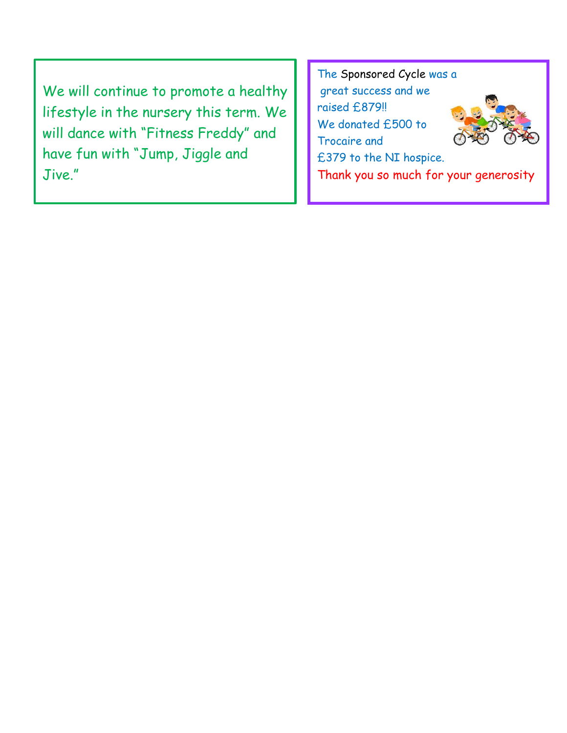We will continue to promote a healthy lifestyle in the nursery this term. We will dance with "Fitness Freddy" and have fun with "Jump, Jiggle and Jive."

The Sponsored Cycle was a great success and we raised £879!! We donated £500 to Trocaire and £379 to the NI hospice. Thank you so much for your generosity